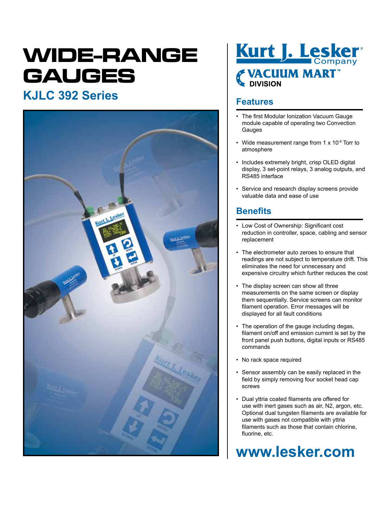# **WIDE-RANGE GAUGES**

## **Features KJLC 392 Series**





- The first Modular Ionization Vacuum Gauge module capable of operating two Convection Gauges
- Wide measurement range from 1 x 10<sup>-9</sup> Torr to atmosphere
- Includes extremely bright, crisp OLED digital display, 3 set-point relays, 3 analog outputs, and RS485 interface
- Service and research display screens provide valuable data and ease of use

### **Benefits**

- Low Cost of Ownership: Significant cost reduction in controller, space, cabling and sensor replacement
- The electrometer auto zeroes to ensure that readings are not subject to temperature drift. This eliminates the need for unnecessary and expensive circuitry which further reduces the cost
- The display screen can show all three measurements on the same screen or display them sequentially. Service screens can monitor filament operation. Error messages will be displayed for all fault conditions
- The operation of the gauge including degas, filament on/off and emission current is set by the front panel push buttons, digital inputs or RS485 commands
- No rack space required
- Sensor assembly can be easily replaced in the field by simply removing four socket head cap screws
- Dual yttria coated filaments are offered for use with inert gases such as air, N2, argon, etc. Optional dual tungsten filaments are available for use with gases not compatible with yttria filaments such as those that contain chlorine, fluorine, etc.

## **www.lesker.com**